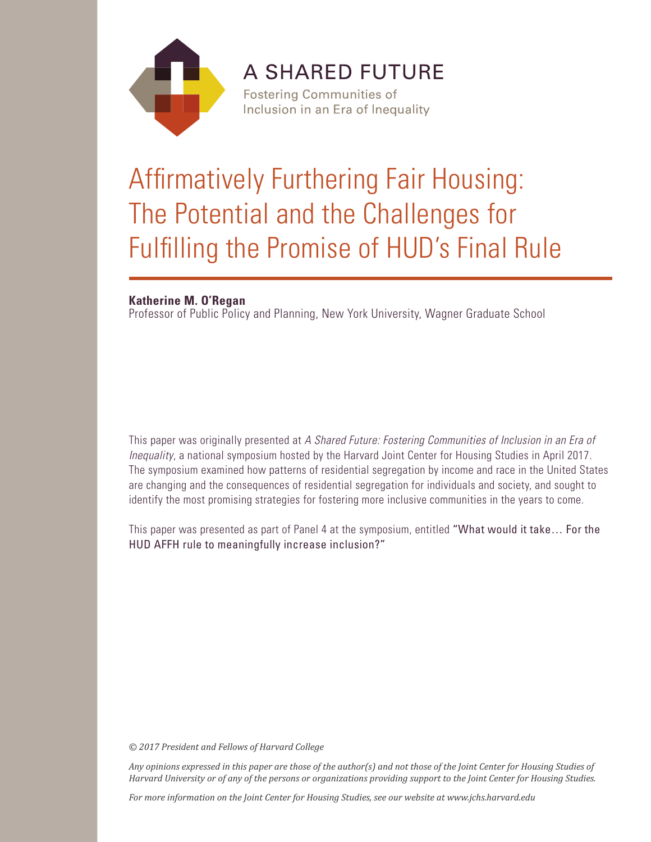

**A SHARED FUTURE Fostering Communities of** 

Inclusion in an Era of Inequality

# Affirmatively Furthering Fair Housing: The Potential and the Challenges for Fulfilling the Promise of HUD's Final Rule

# **Katherine M. O'Regan**

Professor of Public Policy and Planning, New York University, Wagner Graduate School

This paper was originally presented at *A Shared Future: Fostering Communities of Inclusion in an Era of Inequality*, a national symposium hosted by the Harvard Joint Center for Housing Studies in April 2017. The symposium examined how patterns of residential segregation by income and race in the United States are changing and the consequences of residential segregation for individuals and society, and sought to identify the most promising strategies for fostering more inclusive communities in the years to come.

This paper was presented as part of Panel 4 at the symposium, entitled "What would it take… For the HUD AFFH rule to meaningfully increase inclusion?"

*© 2017 President and Fellows of Harvard College*

*Any opinions expressed in this paper are those of the author(s) and not those of the Joint Center for Housing Studies of Harvard University or of any of the persons or organizations providing support to the Joint Center for Housing Studies.* 

*For more information on the Joint Center for Housing Studies, see our website at www.jchs.harvard.edu*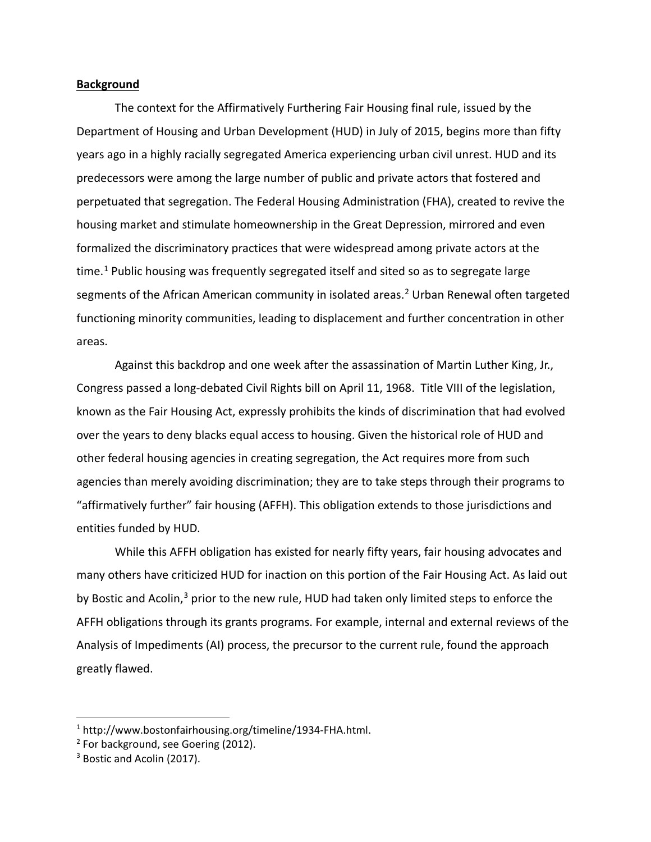#### **Background**

The context for the Affirmatively Furthering Fair Housing final rule, issued by the Department of Housing and Urban Development (HUD) in July of 2015, begins more than fifty years ago in a highly racially segregated America experiencing urban civil unrest. HUD and its predecessors were among the large number of public and private actors that fostered and perpetuated that segregation. The Federal Housing Administration (FHA), created to revive the housing market and stimulate homeownership in the Great Depression, mirrored and even formalized the discriminatory practices that were widespread among private actors at the time. [1](#page-2-0) Public housing was frequently segregated itself and sited so as to segregate large segments of the African American community in isolated areas.<sup>[2](#page-2-1)</sup> Urban Renewal often targeted functioning minority communities, leading to displacement and further concentration in other areas.

Against this backdrop and one week after the assassination of Martin Luther King, Jr., Congress passed a long-debated Civil Rights bill on April 11, 1968. Title VIII of the legislation, known as the Fair Housing Act, expressly prohibits the kinds of discrimination that had evolved over the years to deny blacks equal access to housing. Given the historical role of HUD and other federal housing agencies in creating segregation, the Act requires more from such agencies than merely avoiding discrimination; they are to take steps through their programs to "affirmatively further" fair housing (AFFH). This obligation extends to those jurisdictions and entities funded by HUD.

While this AFFH obligation has existed for nearly fifty years, fair housing advocates and many others have criticized HUD for inaction on this portion of the Fair Housing Act. As laid out by Bostic and Acolin,<sup>[3](#page-2-2)</sup> prior to the new rule, HUD had taken only limited steps to enforce the AFFH obligations through its grants programs. For example, internal and external reviews of the Analysis of Impediments (AI) process, the precursor to the current rule, found the approach greatly flawed.

<span id="page-2-0"></span><sup>&</sup>lt;sup>1</sup> http://www.bostonfairhousing.org/timeline/1934-FHA.html.<br><sup>2</sup> For background, see Goering (2012).<br><sup>3</sup> Bostic and Acolin (2017).

<span id="page-2-1"></span>

<span id="page-2-2"></span>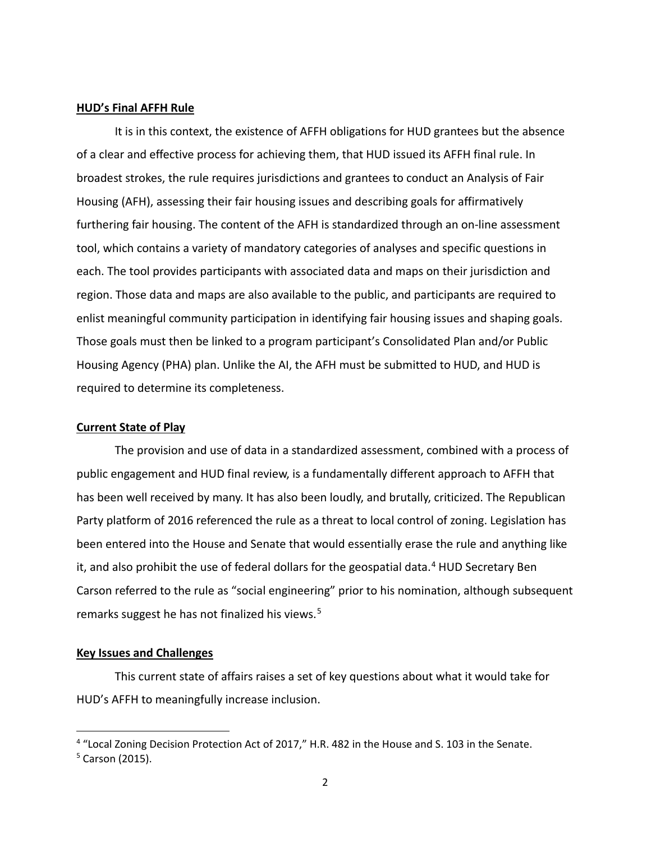#### **HUD's Final AFFH Rule**

It is in this context, the existence of AFFH obligations for HUD grantees but the absence of a clear and effective process for achieving them, that HUD issued its AFFH final rule. In broadest strokes, the rule requires jurisdictions and grantees to conduct an Analysis of Fair Housing (AFH), assessing their fair housing issues and describing goals for affirmatively furthering fair housing. The content of the AFH is standardized through an on-line assessment tool, which contains a variety of mandatory categories of analyses and specific questions in each. The tool provides participants with associated data and maps on their jurisdiction and region. Those data and maps are also available to the public, and participants are required to enlist meaningful community participation in identifying fair housing issues and shaping goals. Those goals must then be linked to a program participant's Consolidated Plan and/or Public Housing Agency (PHA) plan. Unlike the AI, the AFH must be submitted to HUD, and HUD is required to determine its completeness.

#### **Current State of Play**

The provision and use of data in a standardized assessment, combined with a process of public engagement and HUD final review, is a fundamentally different approach to AFFH that has been well received by many. It has also been loudly, and brutally, criticized. The Republican Party platform of 2016 referenced the rule as a threat to local control of zoning. Legislation has been entered into the House and Senate that would essentially erase the rule and anything like it, and also prohibit the use of federal dollars for the geospatial data. $4$  HUD Secretary Ben Carson referred to the rule as "social engineering" prior to his nomination, although subsequent remarks suggest he has not finalized his views.<sup>[5](#page-3-1)</sup>

### **Key Issues and Challenges**

This current state of affairs raises a set of key questions about what it would take for HUD's AFFH to meaningfully increase inclusion.

<span id="page-3-1"></span><span id="page-3-0"></span><sup>&</sup>lt;sup>4</sup> "Local Zoning Decision Protection Act of 2017," H.R. 482 in the House and S. 103 in the Senate.<br><sup>5</sup> Carson (2015).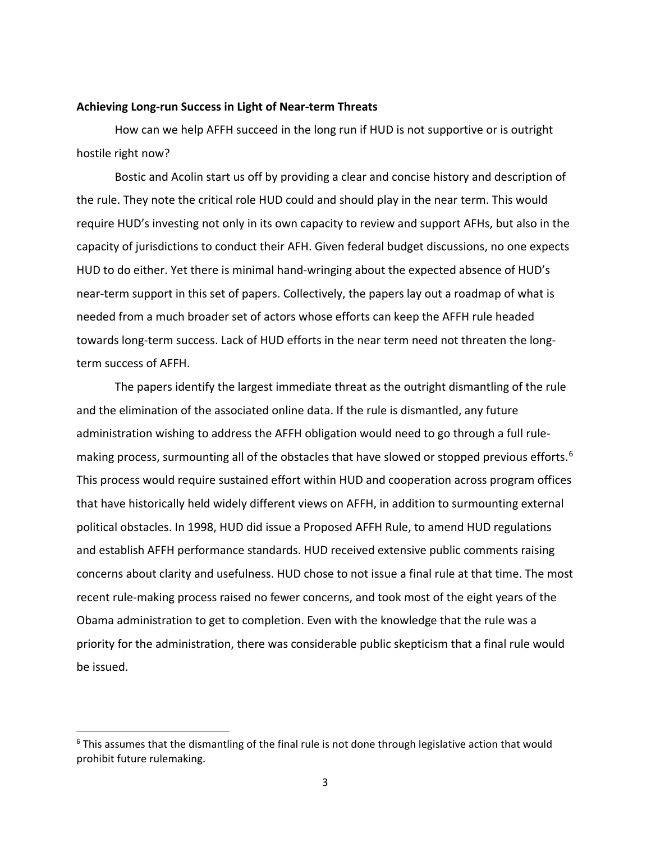#### **Achieving Long-run Success in Light of Near-term Threats**

How can we help AFFH succeed in the long run if HUD is not supportive or is outright hostile right now?

Bostic and Acolin start us off by providing a clear and concise history and description of the rule. They note the critical role HUD could and should play in the near term. This would require HUD's investing not only in its own capacity to review and support AFHs, but also in the capacity of jurisdictions to conduct their AFH. Given federal budget discussions, no one expects HUD to do either. Yet there is minimal hand-wringing about the expected absence of HUD's near-term support in this set of papers. Collectively, the papers lay out a roadmap of what is needed from a much broader set of actors whose efforts can keep the AFFH rule headed towards long-term success. Lack of HUD efforts in the near term need not threaten the longterm success of AFFH.

The papers identify the largest immediate threat as the outright dismantling of the rule and the elimination of the associated online data. If the rule is dismantled, any future administration wishing to address the AFFH obligation would need to go through a full rule-making process, surmounting all of the obstacles that have slowed or stopped previous efforts.<sup>[6](#page-4-0)</sup> This process would require sustained effort within HUD and cooperation across program offices that have historically held widely different views on AFFH, in addition to surmounting external political obstacles. In 1998, HUD did issue a Proposed AFFH Rule, to amend HUD regulations and establish AFFH performance standards. HUD received extensive public comments raising concerns about clarity and usefulness. HUD chose to not issue a final rule at that time. The most recent rule-making process raised no fewer concerns, and took most of the eight years of the Obama administration to get to completion. Even with the knowledge that the rule was a priority for the administration, there was considerable public skepticism that a final rule would be issued.

<span id="page-4-0"></span> $6$  This assumes that the dismantling of the final rule is not done through legislative action that would prohibit future rulemaking.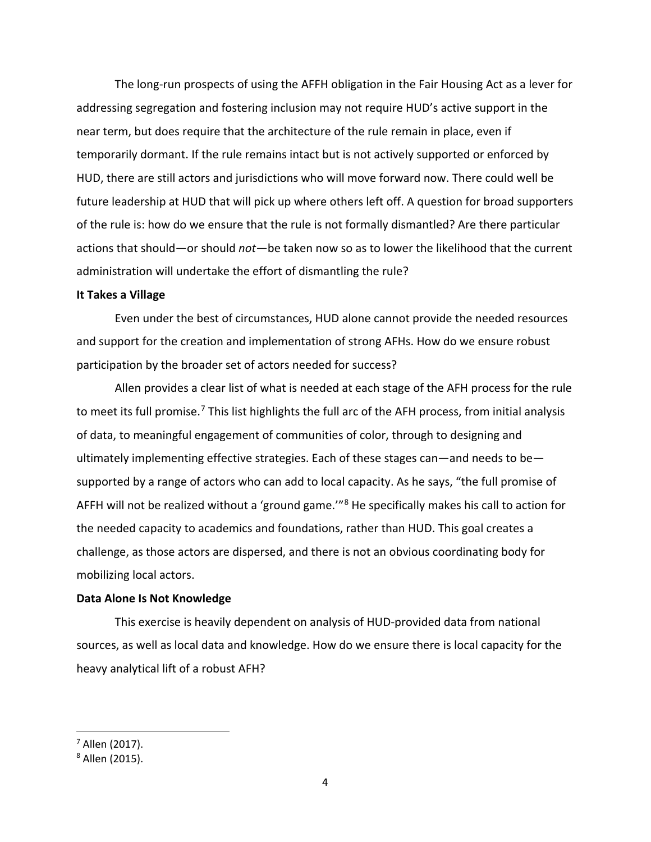The long-run prospects of using the AFFH obligation in the Fair Housing Act as a lever for addressing segregation and fostering inclusion may not require HUD's active support in the near term, but does require that the architecture of the rule remain in place, even if temporarily dormant. If the rule remains intact but is not actively supported or enforced by HUD, there are still actors and jurisdictions who will move forward now. There could well be future leadership at HUD that will pick up where others left off. A question for broad supporters of the rule is: how do we ensure that the rule is not formally dismantled? Are there particular actions that should—or should *not*—be taken now so as to lower the likelihood that the current administration will undertake the effort of dismantling the rule?

### **It Takes a Village**

Even under the best of circumstances, HUD alone cannot provide the needed resources and support for the creation and implementation of strong AFHs. How do we ensure robust participation by the broader set of actors needed for success?

Allen provides a clear list of what is needed at each stage of the AFH process for the rule to meet its full promise.<sup>[7](#page-5-0)</sup> This list highlights the full arc of the AFH process, from initial analysis of data, to meaningful engagement of communities of color, through to designing and ultimately implementing effective strategies. Each of these stages can—and needs to be supported by a range of actors who can add to local capacity. As he says, "the full promise of AFFH will not be realized without a 'ground game.'"[8](#page-5-1) He specifically makes his call to action for the needed capacity to academics and foundations, rather than HUD. This goal creates a challenge, as those actors are dispersed, and there is not an obvious coordinating body for mobilizing local actors.

#### **Data Alone Is Not Knowledge**

This exercise is heavily dependent on analysis of HUD-provided data from national sources, as well as local data and knowledge. How do we ensure there is local capacity for the heavy analytical lift of a robust AFH?

<span id="page-5-0"></span> <sup>7</sup> Allen (2017).

<span id="page-5-1"></span><sup>8</sup> Allen (2015).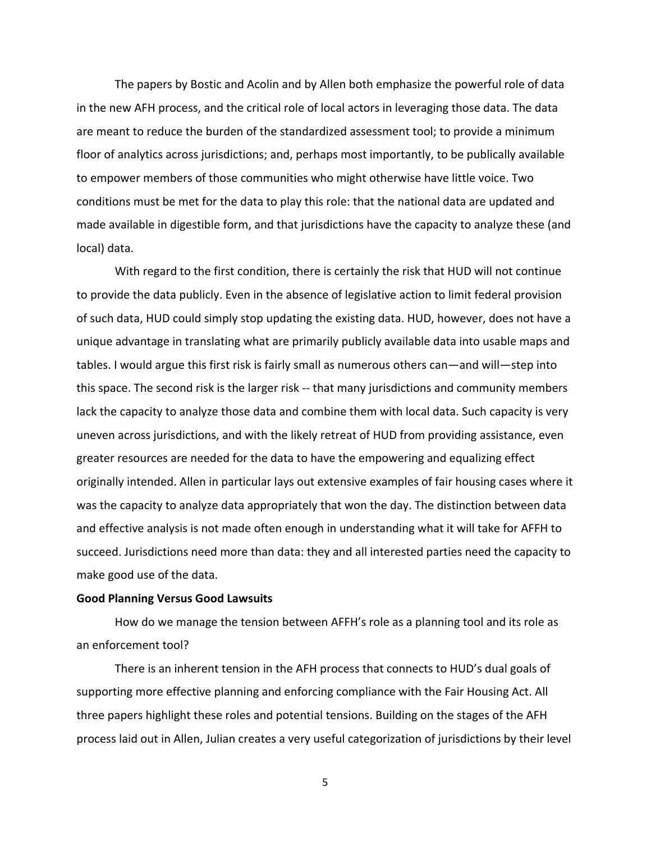The papers by Bostic and Acolin and by Allen both emphasize the powerful role of data in the new AFH process, and the critical role of local actors in leveraging those data. The data are meant to reduce the burden of the standardized assessment tool; to provide a minimum floor of analytics across jurisdictions; and, perhaps most importantly, to be publically available to empower members of those communities who might otherwise have little voice. Two conditions must be met for the data to play this role: that the national data are updated and made available in digestible form, and that jurisdictions have the capacity to analyze these (and local) data.

With regard to the first condition, there is certainly the risk that HUD will not continue to provide the data publicly. Even in the absence of legislative action to limit federal provision of such data, HUD could simply stop updating the existing data. HUD, however, does not have a unique advantage in translating what are primarily publicly available data into usable maps and tables. I would argue this first risk is fairly small as numerous others can—and will—step into this space. The second risk is the larger risk -- that many jurisdictions and community members lack the capacity to analyze those data and combine them with local data. Such capacity is very uneven across jurisdictions, and with the likely retreat of HUD from providing assistance, even greater resources are needed for the data to have the empowering and equalizing effect originally intended. Allen in particular lays out extensive examples of fair housing cases where it was the capacity to analyze data appropriately that won the day. The distinction between data and effective analysis is not made often enough in understanding what it will take for AFFH to succeed. Jurisdictions need more than data: they and all interested parties need the capacity to make good use of the data.

#### **Good Planning Versus Good Lawsuits**

How do we manage the tension between AFFH's role as a planning tool and its role as an enforcement tool?

There is an inherent tension in the AFH process that connects to HUD's dual goals of supporting more effective planning and enforcing compliance with the Fair Housing Act. All three papers highlight these roles and potential tensions. Building on the stages of the AFH process laid out in Allen, Julian creates a very useful categorization of jurisdictions by their level

5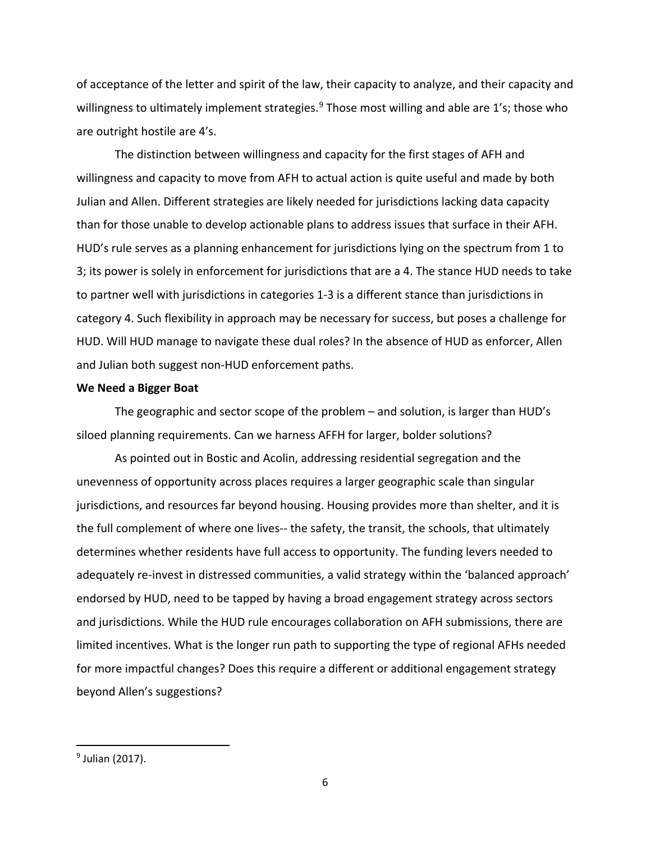of acceptance of the letter and spirit of the law, their capacity to analyze, and their capacity and willingness to ultimately implement strategies.<sup>[9](#page-7-0)</sup> Those most willing and able are 1's; those who are outright hostile are 4's.

The distinction between willingness and capacity for the first stages of AFH and willingness and capacity to move from AFH to actual action is quite useful and made by both Julian and Allen. Different strategies are likely needed for jurisdictions lacking data capacity than for those unable to develop actionable plans to address issues that surface in their AFH. HUD's rule serves as a planning enhancement for jurisdictions lying on the spectrum from 1 to 3; its power is solely in enforcement for jurisdictions that are a 4. The stance HUD needs to take to partner well with jurisdictions in categories 1-3 is a different stance than jurisdictions in category 4. Such flexibility in approach may be necessary for success, but poses a challenge for HUD. Will HUD manage to navigate these dual roles? In the absence of HUD as enforcer, Allen and Julian both suggest non-HUD enforcement paths.

## **We Need a Bigger Boat**

The geographic and sector scope of the problem – and solution, is larger than HUD's siloed planning requirements. Can we harness AFFH for larger, bolder solutions?

As pointed out in Bostic and Acolin, addressing residential segregation and the unevenness of opportunity across places requires a larger geographic scale than singular jurisdictions, and resources far beyond housing. Housing provides more than shelter, and it is the full complement of where one lives-- the safety, the transit, the schools, that ultimately determines whether residents have full access to opportunity. The funding levers needed to adequately re-invest in distressed communities, a valid strategy within the 'balanced approach' endorsed by HUD, need to be tapped by having a broad engagement strategy across sectors and jurisdictions. While the HUD rule encourages collaboration on AFH submissions, there are limited incentives. What is the longer run path to supporting the type of regional AFHs needed for more impactful changes? Does this require a different or additional engagement strategy beyond Allen's suggestions?

<span id="page-7-0"></span><sup>&</sup>lt;sup>9</sup> Julian (2017).